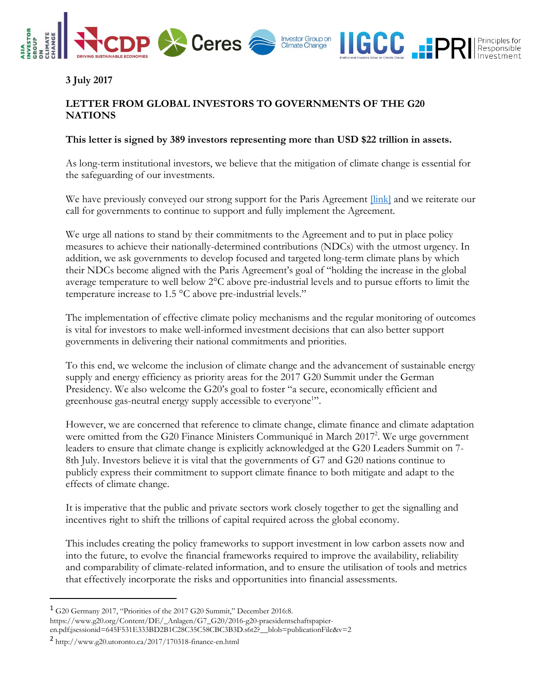

**3 July 2017**

## **LETTER FROM GLOBAL INVESTORS TO GOVERNMENTS OF THE G20 NATIONS**

## **This letter is signed by 389 investors representing more than USD \$22 trillion in assets.**

As long-term institutional investors, we believe that the mitigation of climate change is essential for the safeguarding of our investments.

We have previously conveyed our strong support for the Paris Agreement *[link]* and we reiterate our call for governments to continue to support and fully implement the Agreement.

We urge all nations to stand by their commitments to the Agreement and to put in place policy measures to achieve their nationally-determined contributions (NDCs) with the utmost urgency. In addition, we ask governments to develop focused and targeted long-term climate plans by which their NDCs become aligned with the Paris Agreement's goal of "holding the increase in the global average temperature to well below 2°C above pre-industrial levels and to pursue efforts to limit the temperature increase to 1.5 °C above pre-industrial levels."

The implementation of effective climate policy mechanisms and the regular monitoring of outcomes is vital for investors to make well-informed investment decisions that can also better support governments in delivering their national commitments and priorities.

To this end, we welcome the inclusion of climate change and the advancement of sustainable energy supply and energy efficiency as priority areas for the 2017 G20 Summit under the German Presidency. We also welcome the G20's goal to foster "a secure, economically efficient and greenhouse gas-neutral energy supply accessible to everyone<sup>1</sup>".

However, we are concerned that reference to climate change, climate finance and climate adaptation were omitted from the G20 Finance Ministers Communiqué in March 2017<sup>2</sup>. We urge government leaders to ensure that climate change is explicitly acknowledged at the G20 Leaders Summit on 7- 8th July. Investors believe it is vital that the governments of G7 and G20 nations continue to publicly express their commitment to support climate finance to both mitigate and adapt to the effects of climate change.

It is imperative that the public and private sectors work closely together to get the signalling and incentives right to shift the trillions of capital required across the global economy.

This includes creating the policy frameworks to support investment in low carbon assets now and into the future, to evolve the financial frameworks required to improve the availability, reliability and comparability of climate-related information, and to ensure the utilisation of tools and metrics that effectively incorporate the risks and opportunities into financial assessments.

 $\overline{a}$ 

<sup>1</sup> G20 Germany 2017, "Priorities of the 2017 G20 Summit," December 2016:8. https://www.g20.org/Content/DE/\_Anlagen/G7\_G20/2016-g20-praesidentschaftspapieren.pdf;jsessionid=645F531E333BD2B1C28C35C58CBC3B3D.s6t2?\_\_blob=publicationFile&v=2

<sup>2</sup> http://www.g20.utoronto.ca/2017/170318-finance-en.html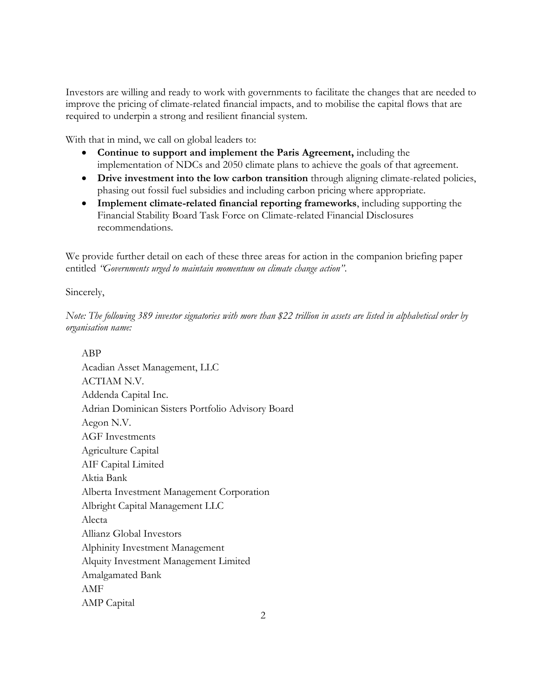Investors are willing and ready to work with governments to facilitate the changes that are needed to improve the pricing of climate-related financial impacts, and to mobilise the capital flows that are required to underpin a strong and resilient financial system.

With that in mind, we call on global leaders to:

- **Continue to support and implement the Paris Agreement,** including the implementation of NDCs and 2050 climate plans to achieve the goals of that agreement.
- **Drive investment into the low carbon transition** through aligning climate-related policies, phasing out fossil fuel subsidies and including carbon pricing where appropriate.
- **Implement climate-related financial reporting frameworks**, including supporting the Financial Stability Board Task Force on Climate-related Financial Disclosures recommendations.

We provide further detail on each of these three areas for action in the companion briefing paper entitled *"Governments urged to maintain momentum on climate change action"*.

Sincerely,

*Note: The following 389 investor signatories with more than \$22 trillion in assets are listed in alphabetical order by organisation name:*

ABP Acadian Asset Management, LLC ACTIAM N.V. Addenda Capital Inc. Adrian Dominican Sisters Portfolio Advisory Board Aegon N.V. AGF Investments Agriculture Capital AIF Capital Limited Aktia Bank Alberta Investment Management Corporation Albright Capital Management LLC Alecta Allianz Global Investors Alphinity Investment Management Alquity Investment Management Limited Amalgamated Bank AMF AMP Capital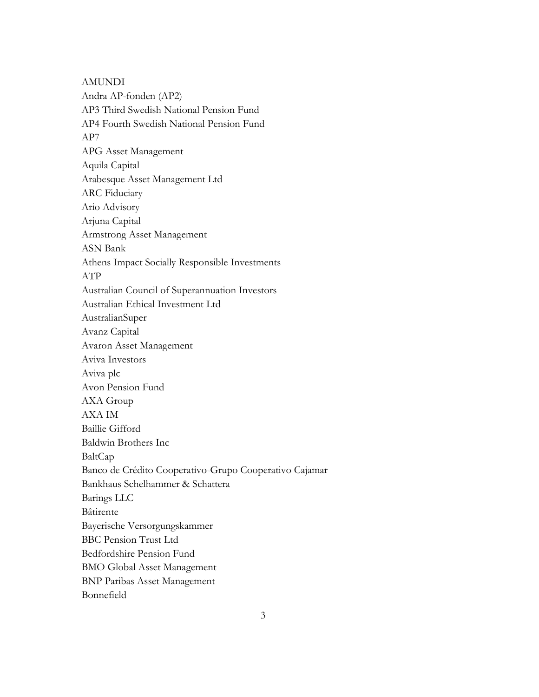AMUNDI Andra AP-fonden (AP2) AP3 Third Swedish National Pension Fund AP4 Fourth Swedish National Pension Fund AP7 APG Asset Management Aquila Capital Arabesque Asset Management Ltd ARC Fiduciary Ario Advisory Arjuna Capital Armstrong Asset Management ASN Bank Athens Impact Socially Responsible Investments ATP Australian Council of Superannuation Investors Australian Ethical Investment Ltd AustralianSuper Avanz Capital Avaron Asset Management Aviva Investors Aviva plc Avon Pension Fund AXA Group AXA IM Baillie Gifford Baldwin Brothers Inc BaltCap Banco de Crédito Cooperativo-Grupo Cooperativo Cajamar Bankhaus Schelhammer & Schattera Barings LLC Bâtirente Bayerische Versorgungskammer BBC Pension Trust Ltd Bedfordshire Pension Fund BMO Global Asset Management BNP Paribas Asset Management Bonnefield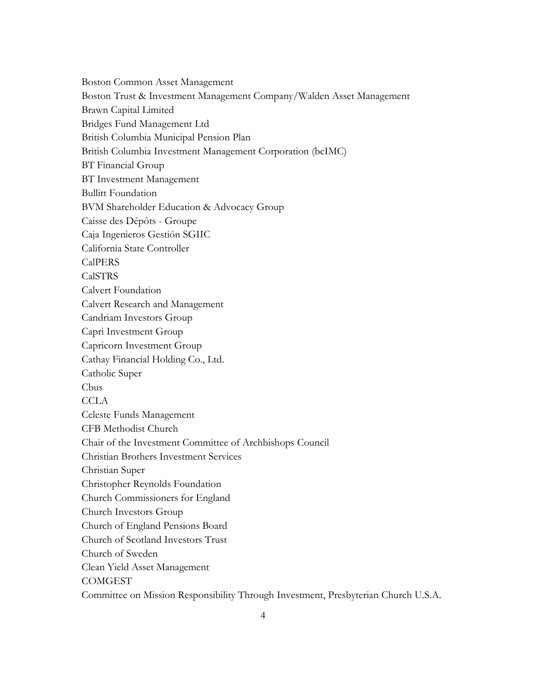Boston Common Asset Management Boston Trust & Investment Management Company/Walden Asset Management Brawn Capital Limited Bridges Fund Management Ltd British Columbia Municipal Pension Plan British Columbia Investment Management Corporation (bcIMC) BT Financial Group BT Investment Management Bullitt Foundation BVM Shareholder Education & Advocacy Group Caisse des Dépôts - Groupe Caja Ingenieros Gestión SGIIC California State Controller CalPERS CalSTRS Calvert Foundation Calvert Research and Management Candriam Investors Group Capri Investment Group Capricorn Investment Group Cathay Financial Holding Co., Ltd. Catholic Super Cbus **CCLA** Celeste Funds Management CFB Methodist Church Chair of the Investment Committee of Archbishops Council Christian Brothers Investment Services Christian Super Christopher Reynolds Foundation Church Commissioners for England Church Investors Group Church of England Pensions Board Church of Scotland Investors Trust Church of Sweden Clean Yield Asset Management **COMGEST** Committee on Mission Responsibility Through Investment, Presbyterian Church U.S.A.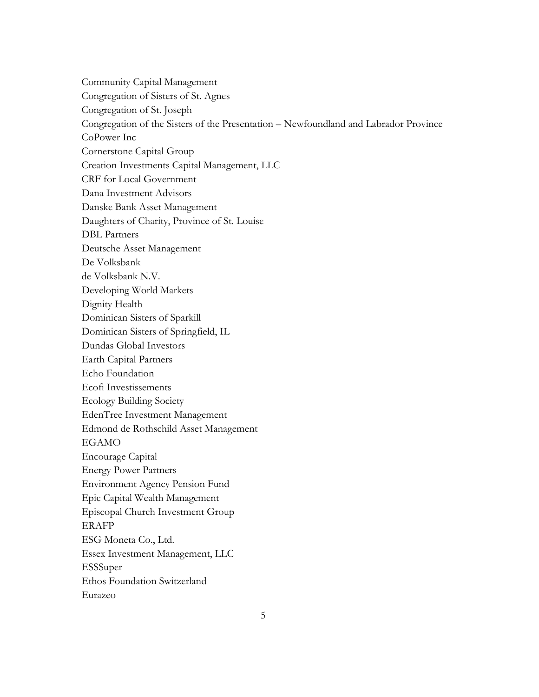Community Capital Management Congregation of Sisters of St. Agnes Congregation of St. Joseph Congregation of the Sisters of the Presentation – Newfoundland and Labrador Province CoPower Inc Cornerstone Capital Group Creation Investments Capital Management, LLC CRF for Local Government Dana Investment Advisors Danske Bank Asset Management Daughters of Charity, Province of St. Louise DBL Partners Deutsche Asset Management De Volksbank de Volksbank N.V. Developing World Markets Dignity Health Dominican Sisters of Sparkill Dominican Sisters of Springfield, IL Dundas Global Investors Earth Capital Partners Echo Foundation Ecofi Investissements Ecology Building Society EdenTree Investment Management Edmond de Rothschild Asset Management EGAMO Encourage Capital Energy Power Partners Environment Agency Pension Fund Epic Capital Wealth Management Episcopal Church Investment Group ERAFP ESG Moneta Co., Ltd. Essex Investment Management, LLC ESSSuper Ethos Foundation Switzerland Eurazeo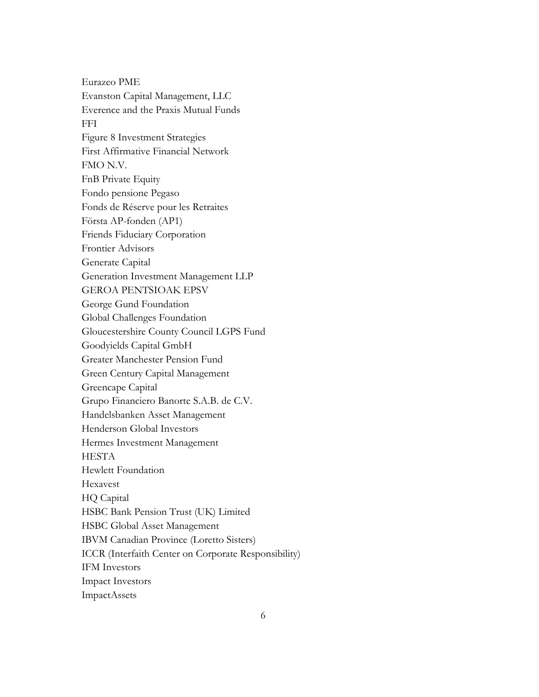Eurazeo PME Evanston Capital Management, LLC Everence and the Praxis Mutual Funds FFI Figure 8 Investment Strategies First Affirmative Financial Network FMO N.V. FnB Private Equity Fondo pensione Pegaso Fonds de Réserve pour les Retraites Första AP-fonden (AP1) Friends Fiduciary Corporation Frontier Advisors Generate Capital Generation Investment Management LLP GEROA PENTSIOAK EPSV George Gund Foundation Global Challenges Foundation Gloucestershire County Council LGPS Fund Goodyields Capital GmbH Greater Manchester Pension Fund Green Century Capital Management Greencape Capital Grupo Financiero Banorte S.A.B. de C.V. Handelsbanken Asset Management Henderson Global Investors Hermes Investment Management **HESTA** Hewlett Foundation Hexavest HQ Capital HSBC Bank Pension Trust (UK) Limited HSBC Global Asset Management IBVM Canadian Province (Loretto Sisters) ICCR (Interfaith Center on Corporate Responsibility) IFM Investors Impact Investors ImpactAssets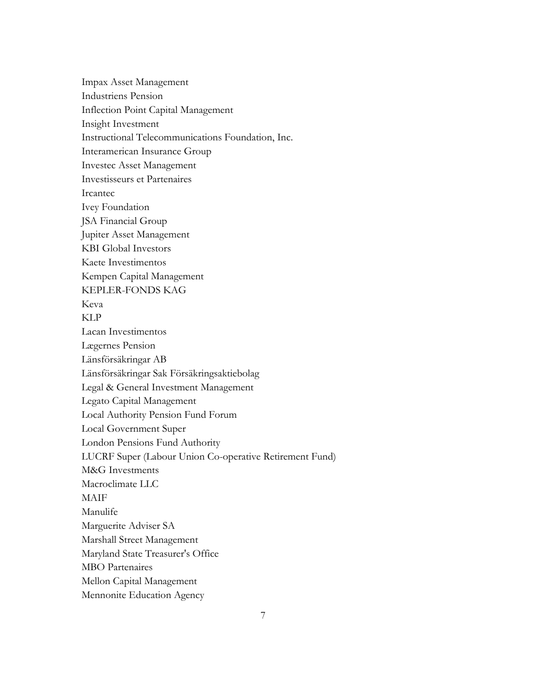Impax Asset Management Industriens Pension Inflection Point Capital Management Insight Investment Instructional Telecommunications Foundation, Inc. Interamerican Insurance Group Investec Asset Management Investisseurs et Partenaires Ircantec Ivey Foundation JSA Financial Group Jupiter Asset Management KBI Global Investors Kaete Investimentos Kempen Capital Management KEPLER-FONDS KAG Keva KLP Lacan Investimentos Lægernes Pension Länsförsäkringar AB Länsförsäkringar Sak Försäkringsaktiebolag Legal & General Investment Management Legato Capital Management Local Authority Pension Fund Forum Local Government Super London Pensions Fund Authority LUCRF Super (Labour Union Co-operative Retirement Fund) M&G Investments Macroclimate LLC MAIF Manulife Marguerite Adviser SA Marshall Street Management Maryland State Treasurer's Office MBO Partenaires Mellon Capital Management Mennonite Education Agency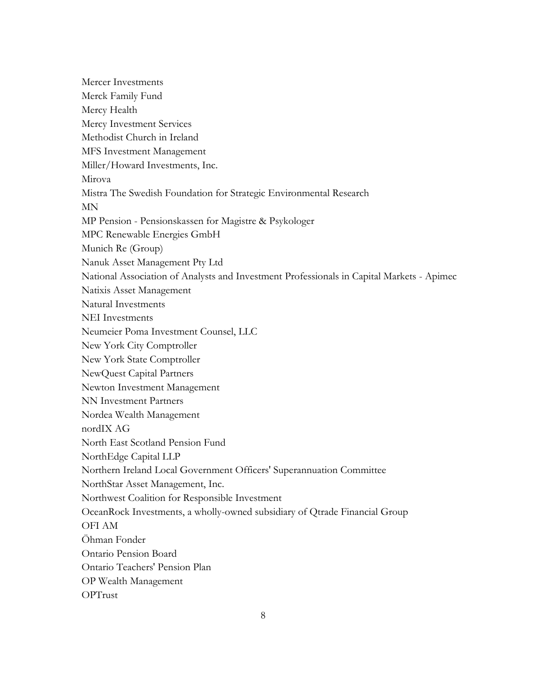Mercer Investments Merck Family Fund Mercy Health Mercy Investment Services Methodist Church in Ireland MFS Investment Management Miller/Howard Investments, Inc. Mirova Mistra The Swedish Foundation for Strategic Environmental Research MN MP Pension - Pensionskassen for Magistre & Psykologer MPC Renewable Energies GmbH Munich Re (Group) Nanuk Asset Management Pty Ltd National Association of Analysts and Investment Professionals in Capital Markets - Apimec Natixis Asset Management Natural Investments NEI Investments Neumeier Poma Investment Counsel, LLC New York City Comptroller New York State Comptroller NewQuest Capital Partners Newton Investment Management NN Investment Partners Nordea Wealth Management nordIX AG North East Scotland Pension Fund NorthEdge Capital LLP Northern Ireland Local Government Officers' Superannuation Committee NorthStar Asset Management, Inc. Northwest Coalition for Responsible Investment OceanRock Investments, a wholly-owned subsidiary of Qtrade Financial Group OFI AM Öhman Fonder Ontario Pension Board Ontario Teachers' Pension Plan OP Wealth Management OPTrust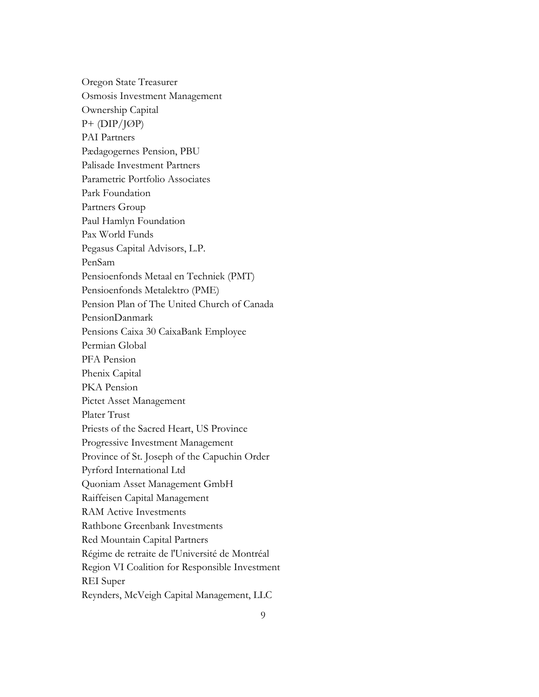Oregon State Treasurer Osmosis Investment Management Ownership Capital P+ (DIP/JØP) PAI Partners Pædagogernes Pension, PBU Palisade Investment Partners Parametric Portfolio Associates Park Foundation Partners Group Paul Hamlyn Foundation Pax World Funds Pegasus Capital Advisors, L.P. PenSam Pensioenfonds Metaal en Techniek (PMT) Pensioenfonds Metalektro (PME) Pension Plan of The United Church of Canada PensionDanmark Pensions Caixa 30 CaixaBank Employee Permian Global PFA Pension Phenix Capital PKA Pension Pictet Asset Management Plater Trust Priests of the Sacred Heart, US Province Progressive Investment Management Province of St. Joseph of the Capuchin Order Pyrford International Ltd Quoniam Asset Management GmbH Raiffeisen Capital Management RAM Active Investments Rathbone Greenbank Investments Red Mountain Capital Partners Régime de retraite de l'Université de Montréal Region VI Coalition for Responsible Investment REI Super Reynders, McVeigh Capital Management, LLC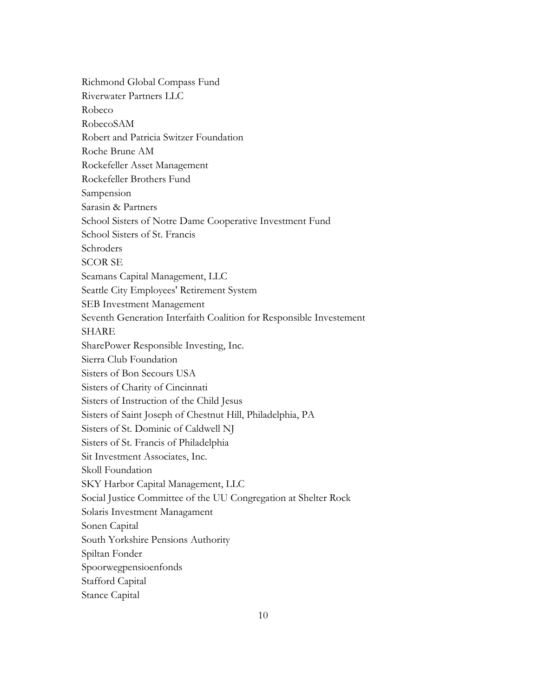Richmond Global Compass Fund Riverwater Partners LLC Robeco RobecoSAM Robert and Patricia Switzer Foundation Roche Brune AM Rockefeller Asset Management Rockefeller Brothers Fund Sampension Sarasin & Partners School Sisters of Notre Dame Cooperative Investment Fund School Sisters of St. Francis Schroders SCOR SE Seamans Capital Management, LLC Seattle City Employees' Retirement System SEB Investment Management Seventh Generation Interfaith Coalition for Responsible Investement SHARE SharePower Responsible Investing, Inc. Sierra Club Foundation Sisters of Bon Secours USA Sisters of Charity of Cincinnati Sisters of Instruction of the Child Jesus Sisters of Saint Joseph of Chestnut Hill, Philadelphia, PA Sisters of St. Dominic of Caldwell NJ Sisters of St. Francis of Philadelphia Sit Investment Associates, Inc. Skoll Foundation SKY Harbor Capital Management, LLC Social Justice Committee of the UU Congregation at Shelter Rock Solaris Investment Managament Sonen Capital South Yorkshire Pensions Authority Spiltan Fonder Spoorwegpensioenfonds Stafford Capital Stance Capital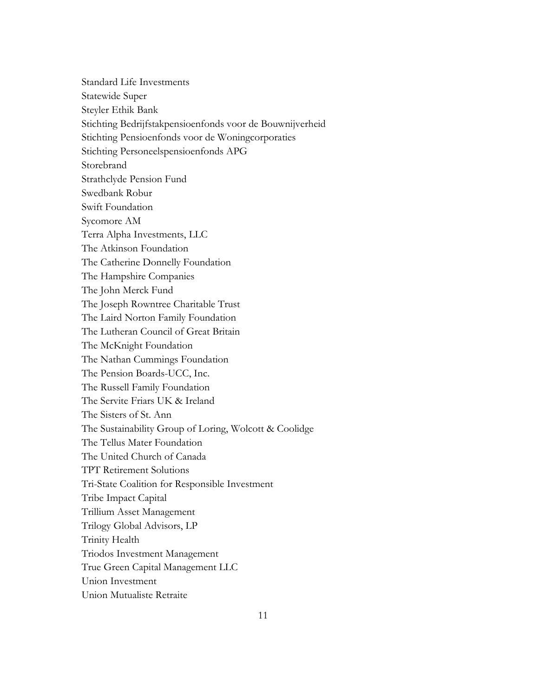Standard Life Investments Statewide Super Steyler Ethik Bank Stichting Bedrijfstakpensioenfonds voor de Bouwnijverheid Stichting Pensioenfonds voor de Woningcorporaties Stichting Personeelspensioenfonds APG Storebrand Strathclyde Pension Fund Swedbank Robur Swift Foundation Sycomore AM Terra Alpha Investments, LLC The Atkinson Foundation The Catherine Donnelly Foundation The Hampshire Companies The John Merck Fund The Joseph Rowntree Charitable Trust The Laird Norton Family Foundation The Lutheran Council of Great Britain The McKnight Foundation The Nathan Cummings Foundation The Pension Boards-UCC, Inc. The Russell Family Foundation The Servite Friars UK & Ireland The Sisters of St. Ann The Sustainability Group of Loring, Wolcott & Coolidge The Tellus Mater Foundation The United Church of Canada TPT Retirement Solutions Tri-State Coalition for Responsible Investment Tribe Impact Capital Trillium Asset Management Trilogy Global Advisors, LP Trinity Health Triodos Investment Management True Green Capital Management LLC Union Investment Union Mutualiste Retraite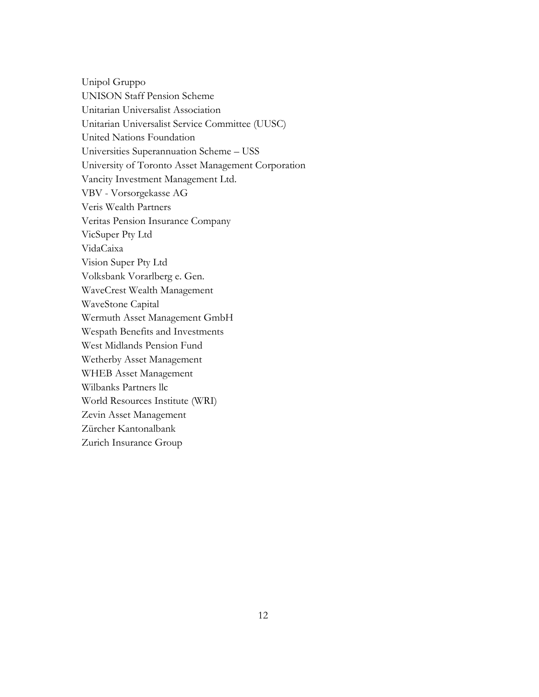Unipol Gruppo UNISON Staff Pension Scheme Unitarian Universalist Association Unitarian Universalist Service Committee (UUSC) United Nations Foundation Universities Superannuation Scheme – USS University of Toronto Asset Management Corporation Vancity Investment Management Ltd. VBV - Vorsorgekasse AG Veris Wealth Partners Veritas Pension Insurance Company VicSuper Pty Ltd VidaCaixa Vision Super Pty Ltd Volksbank Vorarlberg e. Gen. WaveCrest Wealth Management WaveStone Capital Wermuth Asset Management GmbH Wespath Benefits and Investments West Midlands Pension Fund Wetherby Asset Management WHEB Asset Management Wilbanks Partners llc World Resources Institute (WRI) Zevin Asset Management Zürcher Kantonalbank Zurich Insurance Group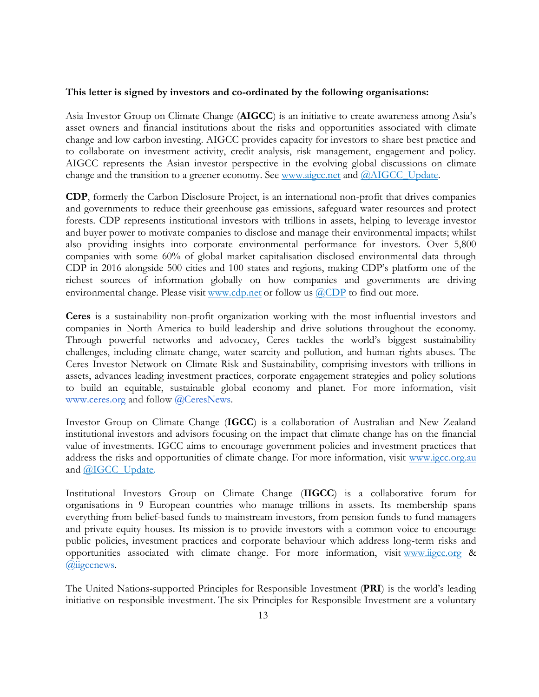## **This letter is signed by investors and co-ordinated by the following organisations:**

Asia Investor Group on Climate Change (**AIGCC**) is an initiative to create awareness among Asia's asset owners and financial institutions about the risks and opportunities associated with climate change and low carbon investing. AIGCC provides capacity for investors to share best practice and to collaborate on investment activity, credit analysis, risk management, engagement and policy. AIGCC represents the Asian investor perspective in the evolving global discussions on climate change and the transition to a greener economy. See [www.aigcc.net](http://www.aigcc.net/) an[d](https://twitter.com/AIGCC_update) [@AIGCC\\_Update.](https://twitter.com/AIGCC_update)

**CDP**, formerly the Carbon Disclosure Project, is an international non-profit that drives companies and governments to reduce their greenhouse gas emissions, safeguard water resources and protect forests. CDP represents institutional investors with trillions in assets, helping to leverage investor and buyer power to motivate companies to disclose and manage their environmental impacts; whilst also providing insights into corporate environmental performance for investors. Over 5,800 companies with some 60% of global market capitalisation disclosed environmental data through CDP in 2016 alongside 500 cities and 100 states and regions, making CDP's platform one of the richest sources of information globally on how companies and governments are driving environmental change. Please visit [www.cdp.net](https://www.cdp.net/en) or follow us [@CDP](https://twitter.com/CDP) to find out more.

**Ceres** is a sustainability non-profit organization working with the most influential investors and companies in North America to build leadership and drive solutions throughout the economy. Through powerful networks and advocacy, Ceres tackles the world's biggest sustainability challenges, including climate change, water scarcity and pollution, and human rights abuses. The Ceres Investor Network on Climate Risk and Sustainability, comprising investors with trillions in assets, advances leading investment practices, corporate engagement strategies and policy solutions to build an equitable, sustainable global economy and planet. For more information, visit [www.ceres.org](http://www.ceres.org/) and follow [@CeresNews.](https://twitter.com/ceresnews?lang=en)

Investor Group on Climate Change (**IGCC**) is a collaboration of Australian and New Zealand institutional investors and advisors focusing on the impact that climate change has on the financial value of investments. IGCC aims to encourage government policies and investment practices that address the risks and opportunities of climate change. For more information, visit [www.igcc.org.au](http://www.igcc.org.au/) and [@IGCC\\_Update.](https://twitter.com/IGCC_Update)

Institutional Investors Group on Climate Change (**IIGCC**) is a collaborative forum for organisations in 9 European countries who manage trillions in assets. Its membership spans everything from belief-based funds to mainstream investors, from pension funds to fund managers and private equity houses. Its mission is to provide investors with a common voice to encourage public policies, investment practices and corporate behaviour which address long-term risks and opportunities associated with climate change. For more information, visit [www.iigcc.org](http://www.iigcc.org/about-us/our-members) & [@iigccnews.](https://twitter.com/iigccnews)

The United Nations-supported Principles for Responsible Investment (**PRI**) is the world's leading initiative on responsible investment. The six Principles for Responsible Investment are a voluntary